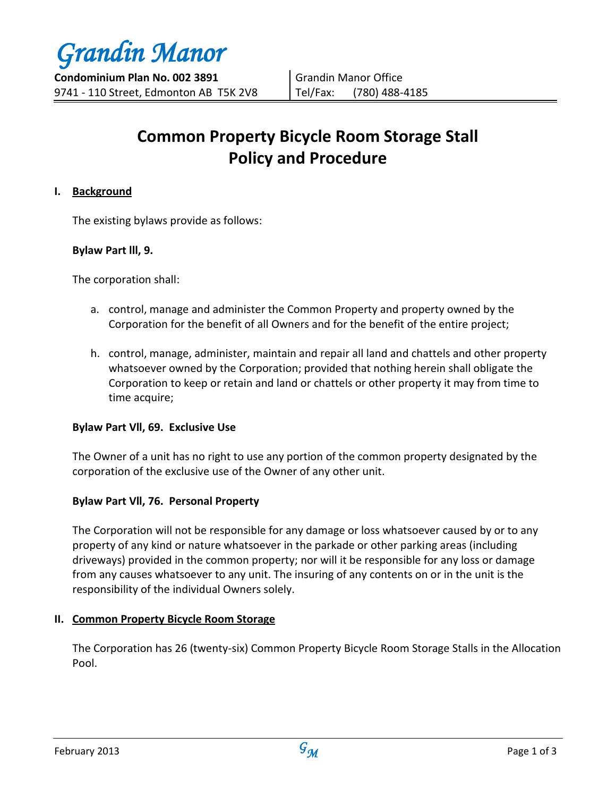# **Common Property Bicycle Room Storage Stall Policy and Procedure**

## **I. Background**

The existing bylaws provide as follows:

## **Bylaw Part lll, 9.**

The corporation shall:

- a. control, manage and administer the Common Property and property owned by the Corporation for the benefit of all Owners and for the benefit of the entire project;
- h. control, manage, administer, maintain and repair all land and chattels and other property whatsoever owned by the Corporation; provided that nothing herein shall obligate the Corporation to keep or retain and land or chattels or other property it may from time to time acquire;

## **Bylaw Part Vll, 69. Exclusive Use**

The Owner of a unit has no right to use any portion of the common property designated by the corporation of the exclusive use of the Owner of any other unit.

# **Bylaw Part Vll, 76. Personal Property**

The Corporation will not be responsible for any damage or loss whatsoever caused by or to any property of any kind or nature whatsoever in the parkade or other parking areas (including driveways) provided in the common property; nor will it be responsible for any loss or damage from any causes whatsoever to any unit. The insuring of any contents on or in the unit is the responsibility of the individual Owners solely.

## **II. Common Property Bicycle Room Storage**

The Corporation has 26 (twenty-six) Common Property Bicycle Room Storage Stalls in the Allocation Pool.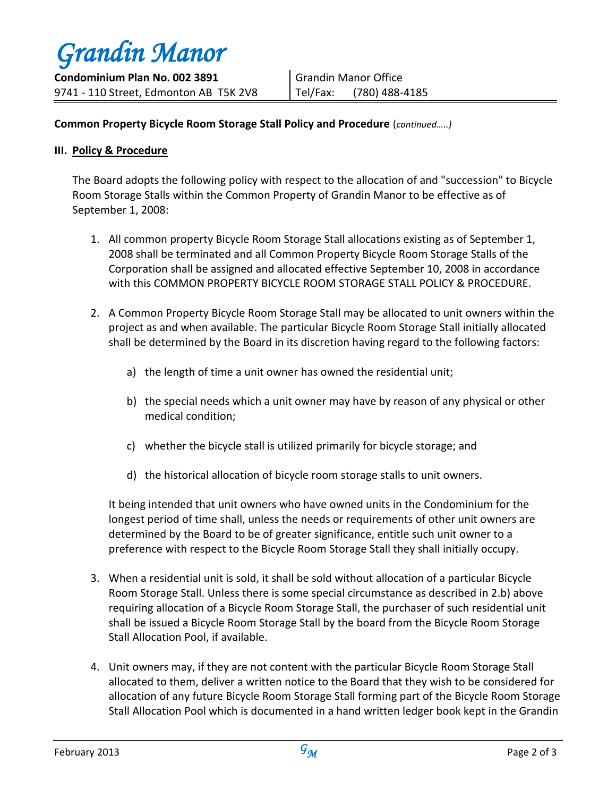*Grandin Manor* **Condominium Plan No. 002 3891** 9741 - 110 Street, Edmonton AB T5K 2V8

## **Common Property Bicycle Room Storage Stall Policy and Procedure** (*continued…..)*

#### **III. Policy & Procedure**

The Board adopts the following policy with respect to the allocation of and "succession" to Bicycle Room Storage Stalls within the Common Property of Grandin Manor to be effective as of September 1, 2008:

- 1. All common property Bicycle Room Storage Stall allocations existing as of September 1, 2008 shall be terminated and all Common Property Bicycle Room Storage Stalls of the Corporation shall be assigned and allocated effective September 10, 2008 in accordance with this COMMON PROPERTY BICYCLE ROOM STORAGE STALL POLICY & PROCEDURE.
- 2. A Common Property Bicycle Room Storage Stall may be allocated to unit owners within the project as and when available. The particular Bicycle Room Storage Stall initially allocated shall be determined by the Board in its discretion having regard to the following factors:
	- a) the length of time a unit owner has owned the residential unit;
	- b) the special needs which a unit owner may have by reason of any physical or other medical condition;
	- c) whether the bicycle stall is utilized primarily for bicycle storage; and
	- d) the historical allocation of bicycle room storage stalls to unit owners.

It being intended that unit owners who have owned units in the Condominium for the longest period of time shall, unless the needs or requirements of other unit owners are determined by the Board to be of greater significance, entitle such unit owner to a preference with respect to the Bicycle Room Storage Stall they shall initially occupy.

- 3. When a residential unit is sold, it shall be sold without allocation of a particular Bicycle Room Storage Stall. Unless there is some special circumstance as described in 2.b) above requiring allocation of a Bicycle Room Storage Stall, the purchaser of such residential unit shall be issued a Bicycle Room Storage Stall by the board from the Bicycle Room Storage Stall Allocation Pool, if available.
- 4. Unit owners may, if they are not content with the particular Bicycle Room Storage Stall allocated to them, deliver a written notice to the Board that they wish to be considered for allocation of any future Bicycle Room Storage Stall forming part of the Bicycle Room Storage Stall Allocation Pool which is documented in a hand written ledger book kept in the Grandin